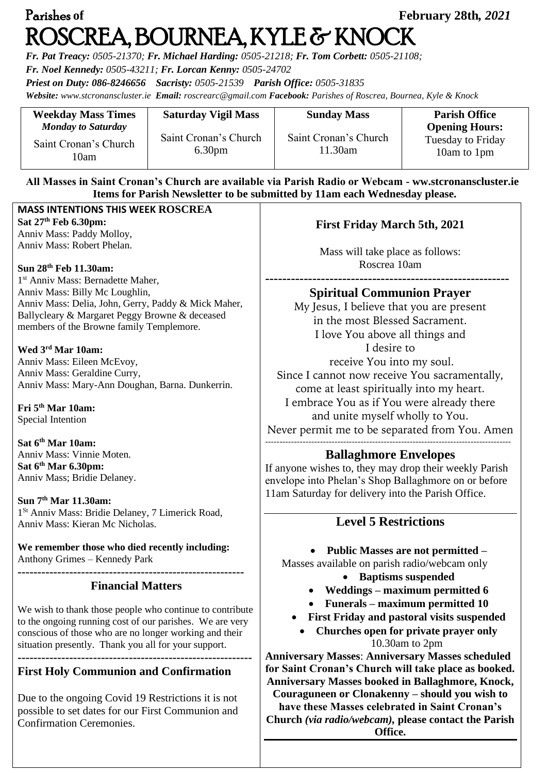# Parishes **of February 28th***, 2021*  ROSCREA, BOURNEA, KYLE & KNOCK

*Fr. Pat Treacy: 0505-21370; Fr. Michael Harding: 0505-21218; Fr. Tom Corbett: 0505-21108;* 

*Fr. Noel Kennedy: 0505-43211; Fr. Lorcan Kenny: 0505-24702*

*Priest on Duty: 086-8246656 Sacristy: 0505-21539 Parish Office: 0505-31835* 

*Website: [www.stcronanscluster.ie](http://www.stcronanscluster.ie/) Email: [roscrearc@gmail.com](mailto:roscrearc@gmail.com) Facebook: Parishes of Roscrea, Bournea, Kyle & Knock* 

| <b>Weekday Mass Times</b>                                  | <b>Saturday Vigil Mass</b>                  | <b>Sunday Mass</b>               | <b>Parish Office</b>                                             |
|------------------------------------------------------------|---------------------------------------------|----------------------------------|------------------------------------------------------------------|
| <b>Monday to Saturday</b><br>Saint Cronan's Church<br>10am | Saint Cronan's Church<br>6.30 <sub>pm</sub> | Saint Cronan's Church<br>11.30am | <b>Opening Hours:</b><br><b>Tuesday to Friday</b><br>10am to 1pm |

#### **All Masses in Saint Cronan's Church are available via Parish Radio or Webcam - ww.stcronanscluster.ie Items for Parish Newsletter to be submitted by 11am each Wednesday please.**

#### **MASS INTENTIONS THIS WEEK ROSCREA Sat 27th Feb 6.30pm:**

Anniv Mass: Paddy Molloy, Anniv Mass: Robert Phelan.

#### **Sun 28th Feb 11.30am:**

1 st Anniv Mass: Bernadette Maher, Anniv Mass: Billy Mc Loughlin, Anniv Mass: Delia, John, Gerry, Paddy & Mick Maher, Ballycleary & Margaret Peggy Browne & deceased members of the Browne family Templemore.

#### **Wed 3rd Mar 10am:**

Anniv Mass: Eileen McEvoy, Anniv Mass: Geraldine Curry, Anniv Mass: Mary-Ann Doughan, Barna. Dunkerrin.

**Fri 5th Mar 10am:** Special Intention

**Sat 6th Mar 10am:** Anniv Mass: Vinnie Moten. **Sat 6th Mar 6.30pm:** Anniv Mass; Bridie Delaney.

#### **Sun 7th Mar 11.30am:**

1 St Anniv Mass: Bridie Delaney, 7 Limerick Road, Anniv Mass: Kieran Mc Nicholas.

**We remember those who died recently including:** Anthony Grimes – Kennedy Park

**---------------------------------------------------------**

#### **Financial Matters**

We wish to thank those people who continue to contribute to the ongoing running cost of our parishes. We are very conscious of those who are no longer working and their situation presently. Thank you all for your support. **-----------------------------------------------------------**

# **First Holy Communion and Confirmation**

Due to the ongoing Covid 19 Restrictions it is not possible to set dates for our First Communion and Confirmation Ceremonies.

### **First Friday March 5th, 2021**

Mass will take place as follows: Roscrea 10am

**---------------------------------------------------------**

### **Spiritual Communion Prayer**

My Jesus, I believe that you are present in the most Blessed Sacrament. I love You above all things and I desire to receive You into my soul. Since I cannot now receive You sacramentally, come at least spiritually into my heart. I embrace You as if You were already there and unite myself wholly to You. Never permit me to be separated from You. Amen -------------------------------------------------------------------------------------

# **Ballaghmore Envelopes**

If anyone wishes to, they may drop their weekly Parish envelope into Phelan's Shop Ballaghmore on or before 11am Saturday for delivery into the Parish Office.

# **Level 5 Restrictions**

• **Public Masses are not permitted –**

Masses available on parish radio/webcam only

- **Baptisms suspended**
- **Weddings – maximum permitted 6**
- **Funerals – maximum permitted 10**
- **First Friday and pastoral visits suspended**
	- **Churches open for private prayer only** 10.30am to 2pm

**Anniversary Masses**: **Anniversary Masses scheduled for Saint Cronan's Church will take place as booked. Anniversary Masses booked in Ballaghmore, Knock, Couraguneen or Clonakenny – should you wish to have these Masses celebrated in Saint Cronan's Church** *(via radio/webcam),* **please contact the Parish Office.**